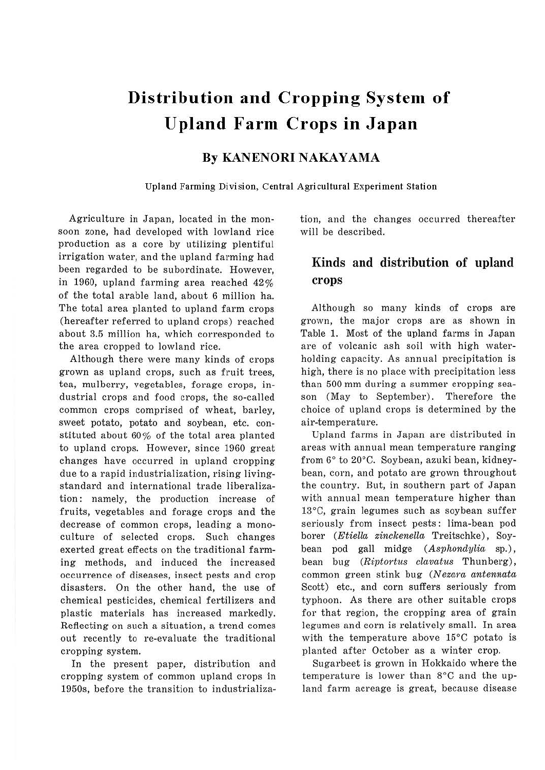# **Distribution and Cropping System of Upland Farm Crops in Japan**

### **By KANENORI NAKAYAMA**

Upland Farming Division, Central Agricultural Experiment Station

Agriculture in Japan, located in the monsoon zone, had developed with lowland rice production as a core by utilizing plentiful irrigation water, and the upland farming had been regarded to be subordinate. However, in 1960, upland farming area reached 42% of the total arable land, about 6 million ha. The total area planted to upland farm crops (hereafter referred to upland crops) reached about 3.5 million ha, which corresponded to the area cropped to lowland rice.

Although there were many kinds of crops grown as upland crops, such as fruit trees, tea, mulberry, vegetables, forage crops, industrial crops and food crops, the so-called common crops comprised of wheat, barley, sweet potato, potato and soybean, etc. constituted about 60% of the total area planted to upland crops. However, since 1960 great changes have occurred in upland cropping due to a rapid industrialization, rising livingstandard and international trade liberalization: namely, the production increase of fruits, vegetables and forage crops and the decrease of common crops, leading a monoculture of selected crops. Such changes exerted great effects on the traditional farming methods, and induced the increased occurrence of diseases, insect pests and crop disasters. On the other hand, the use of chemical pesticides, chemical fertilizers and plastic materials has increased markedly. Reflecting on such a situation, a trend comes out recently to re-evaluate the traditional cropping system.

In the present paper, distribution and cropping system of common upland crops **in**  1950s, before the transition to industrialization, and the changes occurred thereafter will be described.

## **Kinds and distribution of upland crops**

Although so many kinds of crops are grown, the major crops are as shown in Table 1. Most of the upland farms in Japan are of volcanic ash soil with high waterholding capacity. As annual precipitation is high, there is no place with precipitation less than 500 mm during a summer cropping season (May to September). Therefore the choice of upland crops is determined by the air-temperature.

Upland farms in Japan are distributed in areas with annual mean temperature ranging from 6° to 20°C. Soybean, azuki bean, kidneybean, corn, and potato are grown throughout the country. But, in southern part of Japan with annual mean temperature higher than 13°C, grain legumes such as soybean suffer seriously from insect pests: lima-bean pod borer (Etiella zinckenella Treitschke), Soybean pod gall midge (Asphondylia sp.), bean bug (Riptortus clavatus Thunberg), common green stink bug (Nezara antennata Scott) etc., and corn suffers seriously from typhoon. As there are other suitable crops for that region, the cropping area of grain legumes and corn is relatively small. In area with the temperature above 15°C potato is planted after October as a winter crop.

Sugarbeet is grown in Hokkaido where the temperature is lower than 8°C and the upland farm acreage is great, because disease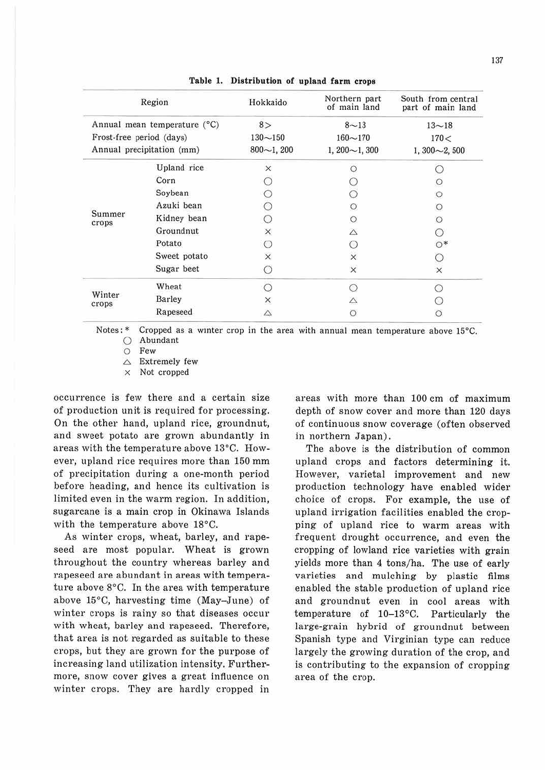| Region<br>Annual mean temperature (°C)<br>Frost-free period (days)<br>Annual precipitation (mm) |              | Hokkaido                           | Northern part<br>of main land                 | South from central<br>part of main land |
|-------------------------------------------------------------------------------------------------|--------------|------------------------------------|-----------------------------------------------|-----------------------------------------|
|                                                                                                 |              | 8><br>$130 - 150$<br>$800 - 1,200$ | $8 - 13$<br>$160 - 170$<br>$1,200 \sim 1,300$ | $13 - 18$<br>170 <<br>$1,300 - 2,500$   |
|                                                                                                 |              |                                    |                                               |                                         |
| Summer<br>crops                                                                                 | Corn         |                                    |                                               | $\circ$                                 |
|                                                                                                 | Soybean      |                                    |                                               | $\circ$                                 |
|                                                                                                 | Azuki bean   |                                    | $\circ$                                       | $\circ$                                 |
|                                                                                                 | Kidney bean  |                                    | $\circ$                                       | $\circ$                                 |
|                                                                                                 | Groundnut    | ×                                  | Δ                                             |                                         |
|                                                                                                 | Potato       | ⊖                                  | ∩                                             | $\circ$ *                               |
|                                                                                                 | Sweet potato | $\times$                           | $\times$                                      |                                         |
|                                                                                                 | Sugar beet   | O                                  | $\times$                                      | ×                                       |
| Winter<br>crops                                                                                 | Wheat        |                                    | ∩                                             |                                         |
|                                                                                                 | Barley       | X                                  | Δ                                             |                                         |
|                                                                                                 | Rapeseed     | Δ                                  | О                                             | O                                       |

**Table 1. Distribution of upland farm crops** 

Notes: \* Cropped as a winter crop in the area with annual mean temperature above 15°C. 0 Abundant

O Few

 $\triangle$  Extremely few

x Not cropped

occurrence is few there and a certain size of production unit is required for processing. On the other hand, upland rice, groundnut, and sweet potato are grown abundantly in areas with the temperature above I3°C. However, upland rice requires more than 150 mm of precipitation during a one-month period before heading, and hence its cultivation is limited even in the warm region. In addition, sugarcane is a main crop in Okinawa Islands with the temperature above 18°C.

As winter crops, wheat, barley, and rapeseed are most popular. Wheat is grown throughout the country whereas barley and rapeseed are abundant in areas with temperature above 8°C. In the area with temperature above 15°C, harvesting time (May-June) of winter crops is rainy so that diseases occur with wheat, barley and rapeseed. Therefore, that area is not regarded as suitable to these crops, but they are grown for the purpose of increasing land utilization intensity. Furthermore, snow cover gives a great influence on winter crops. They are hardly cropped in

areas with more than 100 cm of maximum depth of snow cover and more than 120 days of continuous snow coverage (often observed in northern Japan).

The above is the distribution of common upland crops and factors determining it. However, varietal improvement and new production technology have enabled wider choice of crops. For example, the use of upland irrigation facilities enabled the cropping of upland rice to warm areas with frequent drought occurrence, and even the cropping of lowland rice varieties with grain yields more than 4 tons/ha. The use of early varieties and mulching by plastic films enabled the stable production of upland rice and groundnut even in cool areas with temperature of 10-I3°C. Particularly the large-grain hybrid of groundnut between Spanish type and Virginian type can reduce largely the growing duration of the crop, and is contributing to the expansion of cropping area of the crop.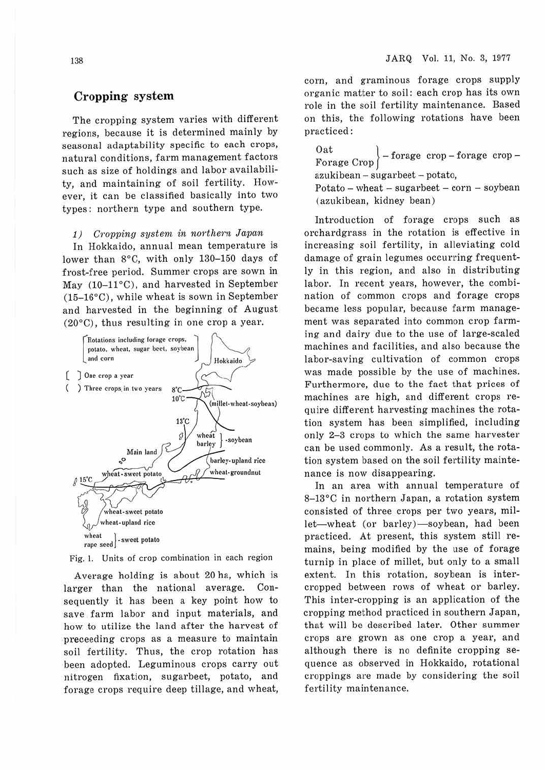#### **Cropping system**

The cropping system varies with different regions, because it is determined mainly by seasonal adaptability specific to each crops, natural conditions, farm management factors such as size of holdings and labor availability, and maintaining of soil fertility. However, it can be classified basically into two types: northern type and southern type.

#### 1) Cropping system in northern Japan

In Hokkaido, annual mean temperature is lower than 8°C, with only 130-150 days of frost-free period. Summer crops are sown in May  $(10-11^{\circ}C)$ , and harvested in September (15-16°C), while wheat is sown in September and harvested in the beginning of August (20°C), thus resulting in one crop a year.



Fig. I. Units of crop combination in each region

Average holding is about 20 ha, which is larger than the national average. Consequently it has been a key point how to save farm labor and input materials, and how to utilize the land after the harvest of preceeding crops as a measure to maintain soil fertility. Thus, the crop rotation has been adopted. Leguminous crops carry out nitrogen fixation, sugarbeet, potato, and forage crops require deep tillage, and wheat, com, and graminous forage crops supply organic matter to soil: each crop has its own role in the soil fertility maintenance. Based on this, the following rotations have been practiced:

Oat<br>  $\left.\text{Forage } \text{Crop} \right\}$  - forage crop - forage crop azukibean - sugarbeet - potato,  $Potato - wheat - sugarbeet - corn - soybean$ (azukibean, kidney bean)

Introduction of forage crops such as orchardgrass in the rotation is effective in increasing soil fertility, in alleviating cold damage of grain legumes occurring frequently in this region, and also in distributing labor. In recent years, however, the combination of common crops and forage crops became less popular, because farm management was separated into common crop farming and dairy due to the use of large-scaled machines and facilities, and also because the labor-saving cultivation of common crops was made possible by the use of machines. Furthermore, due to the fact that prices of machines are high, and different crops require different harvesting machines the rotation system has been simplified, including only 2-3 crops to which the same harvester can be used commonly. As a result, the rotation system based on the soil fertility maintenance is now disappearing.

In an area with annual temperature of 8-13°C in northern Japan, a rotation system consisted of three crops per two years, millet-wheat (or barley)-soybean, had been practiced. At present, this system still remains, being modified by the use of forage turnip in place of millet, but only to a small extent. In this rotation, soybean is intercropped between rows of wheat or barley. This inter-cropping is an application of the cropping method practiced in southern Japan, that will be described later. Other summer crops are grown as one crop a year, and although there is no definite cropping sequence as observed in Hokkaido, rotational croppings are made by considering the soil fertility maintenance.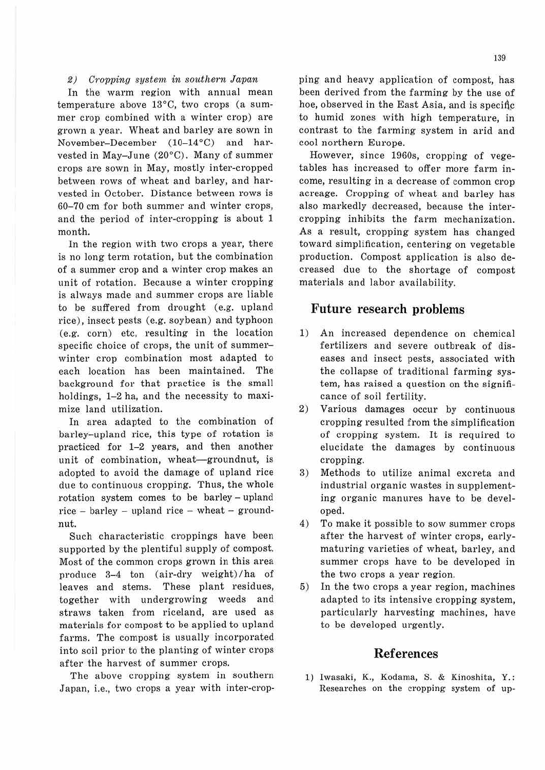#### 2) Cropping system in southern Japan

In the warm region with annual mean temperature above 13°C, two crops (a summer crop combined with a winter crop) are grown a year. Wheat and barley are sown in November-December (10-14°C) and harvested in May-June (20°C). Many of summer crops are sown in May, mostly inter-cropped between rows of wheat and barley, and harvested in October. Distance between rows is 60-70 cm for both summer and winter crops, and the period of inter-cropping is about 1 month.

In the region with two crops a year, there is no long term rotation, but the combination of a summer crop and a winter crop makes an unit of rotation. Because a winter cropping is always made and summer crops are liable to be suffered from drought (e.g. upland rice), insect pests (e.g. soybean) and typhoon (e.g. corn) etc, resulting in the location specific choice of crops, the unit of summerwinter crop combination most adapted to each location has been maintained. The background for that practice is the small holdings, 1-2 ha, and the necessity to maximize land utilization.

In area adapted to the combination of barley-upland rice, this type of rotation is practiced for 1-2 years, and then another unit of combination, wheat-groundnut, is adopted to avoid the damage of upland rice due to continuous cropping. Thus, the whole rotation system comes to be barley - upland rice - barley - upland rice - wheat - groundnut.

Such characteristic croppings have been supported by the plentiful supply of compost. Most of the common crops grown in this area produce 3-4 ton (air-dry weight) /ha of leaves and stems. These plant residues, together with undergrowing weeds and straws taken from riceland, are used as materials for compost to be applied to upland farms. The compost is usually incorporated into soil prior to the planting of winter crops after the harvest of summer crops.

The above cropping system in southern Japan, i.e., two crops a year with inter-cropping and heavy application of compost, has been derived from the farming by the use of hoe, observed in the East Asia, and is specific to humid zones with high temperature, in contrast to the farming system in arid and cool northern Europe.

However, since 1960s, cropping of vegetables has increased to offer more farm income, resulting in a decrease of common crop acreage. Cropping of wheat and barley has also markedly decreased, because the intercropping inhibits the farm mechanization. As a result, cropping system has changed toward simplification, centering on vegetable production. Compost application is also decreased due to the shortage of compost materials and labor availability.

#### **Future research problems**

- 1) An increased dependence on chemical fertilizers and severe outbreak of diseases and insect pests, associated with the collapse of traditional farming system, has raised a question on the significance of soil fertility.
- 2) Various damages occur by continuous cropping resulted from the simplification of cropping system. It is required to elucidate the damages by continuous cropping.
- 3) Methods to utilize animal excreta and industrial organic wastes in supplementing organic manures have to be developed.
- 4) To make it possible to sow summer crops after the harvest of winter crops, earlymaturing varieties of wheat, barley, and summer crops have to be developed in the two crops a year region.
- 5) In the two crops a year region, machines adapted to its intensive cropping system, particularly harvesting machines, have to be developed urgently.

#### **Ref erences**

1) Iwasaki, K., Kodama, S. & Kinoshita, Y.: Researches on the cropping system of up